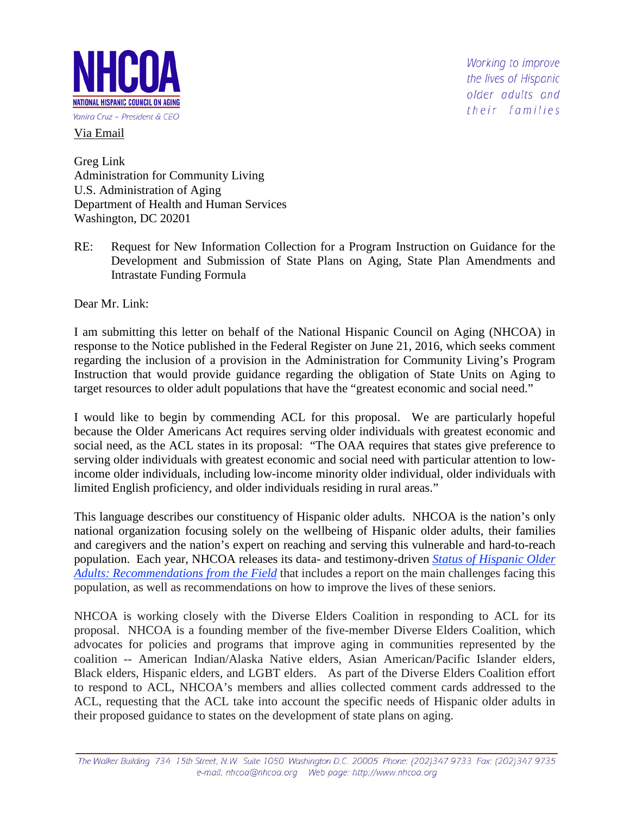

Via Email

Working to improve the lives of Hispanic older adults and their families

Greg Link Administration for Community Living U.S. Administration of Aging Department of Health and Human Services Washington, DC 20201

RE: Request for New Information Collection for a Program Instruction on Guidance for the Development and Submission of State Plans on Aging, State Plan Amendments and Intrastate Funding Formula

Dear Mr. Link:

I am submitting this letter on behalf of the National Hispanic Council on Aging (NHCOA) in response to the Notice published in the Federal Register on June 21, 2016, which seeks comment regarding the inclusion of a provision in the Administration for Community Living's Program Instruction that would provide guidance regarding the obligation of State Units on Aging to target resources to older adult populations that have the "greatest economic and social need."

I would like to begin by commending ACL for this proposal. We are particularly hopeful because the Older Americans Act requires serving older individuals with greatest economic and social need, as the ACL states in its proposal: "The OAA requires that states give preference to serving older individuals with greatest economic and social need with particular attention to lowincome older individuals, including low-income minority older individual, older individuals with limited English proficiency, and older individuals residing in rural areas."

This language describes our constituency of Hispanic older adults. NHCOA is the nation's only national organization focusing solely on the wellbeing of Hispanic older adults, their families and caregivers and the nation's expert on reaching and serving this vulnerable and hard-to-reach population. Each year, NHCOA releases its data- and testimony-driven *[Status of Hispanic Older](http://bit.ly/1PgWDyy)  [Adults: Recommendations from the Field](http://bit.ly/1PgWDyy)* that includes a report on the main challenges facing this population, as well as recommendations on how to improve the lives of these seniors.

NHCOA is working closely with the Diverse Elders Coalition in responding to ACL for its proposal. NHCOA is a founding member of the five-member Diverse Elders Coalition, which advocates for policies and programs that improve aging in communities represented by the coalition -- American Indian/Alaska Native elders, Asian American/Pacific Islander elders, Black elders, Hispanic elders, and LGBT elders. As part of the Diverse Elders Coalition effort to respond to ACL, NHCOA's members and allies collected comment cards addressed to the ACL, requesting that the ACL take into account the specific needs of Hispanic older adults in their proposed guidance to states on the development of state plans on aging.